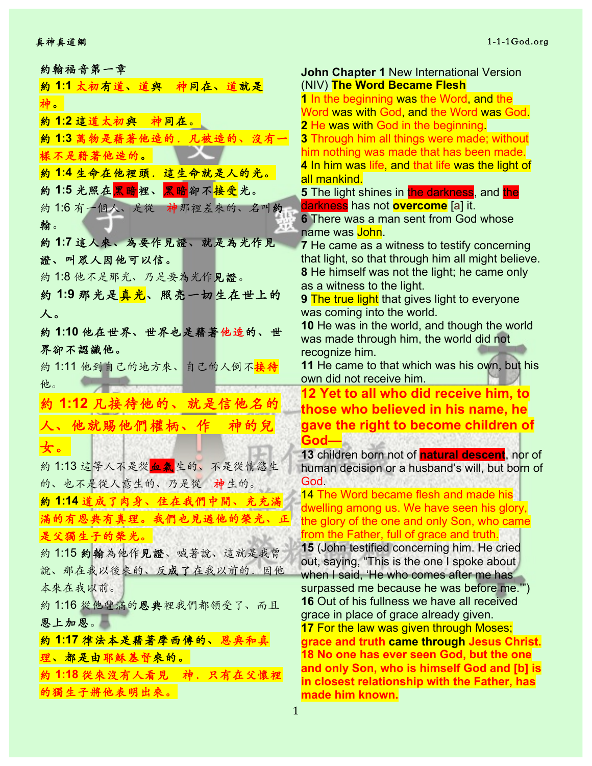約翰福音第⼀章 約 **1:1** 太初有道、道與 神同在、道就是 神。 約 **1:2** 這道太初與 神同在。 約 **1:3** 萬物是藉著他造的.凡被造的、沒有⼀ 樣不是藉著他造的。 約 **1:4** ⽣命在他裡頭.這⽣命就是⼈的光。 約1:5 光照在黑暗<mark>裡、黑暗</mark>卻不接受光。 約1:6 有一個人、是從 神那裡差來的、名叫約 翰。 約 **1:7** 這⼈來、為要作見證、就是為光作見 證、叫眾人因他可以信。 約 1:8 他不是那光、乃是要為光作見證。 約 **1:9** 那光是真光、照亮⼀切⽣在世上的 ⼈。 約 **1:10** 他在世界、世界也是藉著他造的、世 界卻不認識他。 約 1:11 他到自己的地方來、自己的人倒不<mark>接待</mark> 他。 約 **1:12** 凡接待他的、就是信他名的 ⼈、他就賜他們權柄、作 神的兒 ⼥。 約 1:13 這等人不是從血氣生的、不是從情慾生 的、也不是從人意生的、乃是從 神生的。 約 **1:14** 道成了⾁身、住在我們中間、充充滿 滿的有恩典有真理。我們也見過他的榮光、正 是父獨生子的榮光。 約 1:15 約翰為他作見證、喊著說、這就是我曾 說、那在我以後來的、反成了在我以前的.因他 本來在我以前。 約1:16從他豐滿的恩典裡我們都領受了、而且 恩上加恩。 約 **1:17** 律法本是藉著摩西傳的、恩典和真 理、都是由耶穌基督來的。 約 **1:18** 從來沒有⼈看見 神.只有在⽗懷裡 的獨生子將他表明出來。

**John Chapter 1** New International Version (NIV) **The Word Became Flesh 1** In the beginning was the Word, and the Word was with God, and the Word was God. **2** He was with God in the beginning. **3** Through him all things were made; without him nothing was made that has been made. **4** In him was life, and that life was the light of all mankind. **5** The light shines in the darkness, and the darkness has not **overcome** [a] it. **6** There was a man sent from God whose name was John. **7** He came as a witness to testify concerning that light, so that through him all might believe. **8** He himself was not the light; he came only as a witness to the light. **9** The true light that gives light to everyone was coming into the world. **10** He was in the world, and though the world was made through him, the world did not recognize him. **11** He came to that which was his own, but his own did not receive him. **12 Yet to all who did receive him, to those who believed in his name, he gave the right to become children of God— 13** children born not of **natural descent**, nor of human decision or a husband's will, but born of God. 14 The Word became flesh and made his dwelling among us. We have seen his glory, the glory of the one and only Son, who came from the Father, full of grace and truth. **15** (John testified concerning him. He cried out, saying, "This is the one I spoke about when I said, 'He who comes after me has surpassed me because he was before me.'") **16** Out of his fullness we have all received grace in place of grace already given. **17** For the law was given through Moses; **grace and truth came through Jesus Christ. 18 No one has ever seen God, but the one and only Son, who is himself God and [b] is in closest relationship with the Father, has** 

1

**made him known.**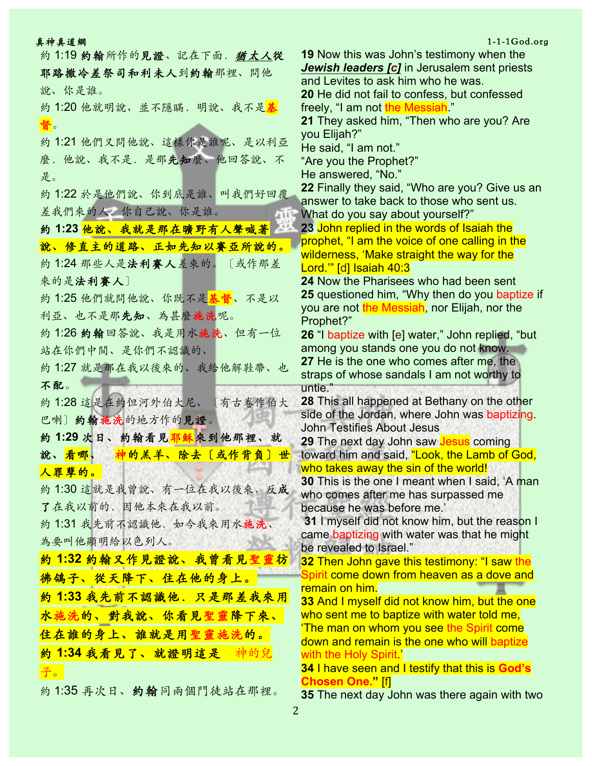| 真神真道網                                  |                                                     |
|----------------------------------------|-----------------------------------------------------|
| 約1:19 約翰所作的見證、記在下面. 猶太人從               | <b>19 Now this was John</b>                         |
| 耶路撒冷差祭司和利未人到約翰那裡、問他                    | Jewish leaders [c] in                               |
| 說、你是誰。                                 | and Levites to ask him                              |
| 約 1:20 他就明說、並不隱瞞.明說、我不是 <mark>基</mark> | 20 He did not fail to co<br>freely, "I am not the M |
|                                        | 21 They asked him, "T                               |
| 督。                                     | you Elijah?"                                        |
| 約1:21 他們又問他說、這樣你是誰呢、是以利亞               | He said, "I am not."                                |
| 麼. 他說、我不是. 是那先知麼、他回答說、不                | "Are you the Prophet?                               |
| 是。                                     | He answered, "No."                                  |
| 約1:22 於是他們說、你到底是誰、叫我們好回覆               | 22 Finally they said, "\                            |
|                                        | answer to take back to                              |
| 差我們來的人。你自己說、你是誰。                       | What do you say abou                                |
| 約 1:23 他說、我就是那在曠野有人聲喊著 △               | 23 John replied in the                              |
| 說、修直主的道路、正如先知以賽亞所說的。                   | prophet, "I am the void<br>wilderness, 'Make stra   |
| 約1:24 那些人是法利赛人差來的。〔或作那差                | Lord."" [d] Isaiah 40:3                             |
| 來的是法利賽人〕                               | <b>24 Now the Pharisees</b>                         |
| 約1:25 他們就問他說、你既不是 <mark>基督</mark> 、不是以 | 25 questioned him, "W                               |
|                                        | you are not the Messia                              |
| 利亞、也不是那先知、為甚麼施洗呢。                      | Prophet?"                                           |
| 約1:26 約翰回答說、我是用水施洗、但有一位                | 26 "I baptize with [e] w                            |
| 站在你們中間、是你們不認識的、                        | among you stands on                                 |
| 約1:27 就是那在我以後來的、我給他解鞋帶、也               | 27 He is the one who                                |
| 不配。                                    | straps of whose sanda<br>untie."                    |
| 約1:28 這是在約但河外伯大尼、〔有古卷作伯大               | <b>28 This all happened a</b>                       |
|                                        | side of the Jordan, wh                              |
| 巴喇〕約翰施洗的地方作的見證。                        | <b>John Testifies About J</b>                       |
| <mark>約1:29次日、約翰看見耶穌</mark> 來到他那裡、就    | 29 The next day John                                |
| 神的羔羊、除去〔或作背負〕世<br>說、看哪、                | toward him and said, '                              |
| 人罪孽的。                                  | who takes away the si                               |
| 約1:30這就是我曾說、有一位在我以後來、反成                | <b>30 This is the one I me</b>                      |
| 了在我以前的. 因他本來在我以前。                      | who comes after me h<br>because he was befor        |
|                                        | 31 I myself did not kn                              |
| 約1:31 我先前不認識他. 如今我來用水施洗、               | came baptizing with w                               |
| 為要叫他顯明給以色列人。                           | be revealed to Israel."                             |
| 約1:32 約翰又作見證說、我曾看見聖靈彷                  | <b>32 Then John gave th</b>                         |
| <b>彿鴿子、從天降下、住在他的身上。</b>                | <u>Spirit come down from</u>                        |
| 約1:33 我先前不認識他. 只是那差我來用                 | remain on him.                                      |
|                                        | 33 And I myself did no                              |
| 水施洗的、對我說、你看見聖靈降下來、                     | who sent me to baptiz<br><u>'The man on whom yo</u> |
| 住在誰的身上、誰就是用聖靈施洗的。                      | down and remain is th                               |
| 約1:34 我看見了、就證明這是 神的兒                   | with the Holy Spirit '                              |
| 子。                                     | <b>34 I have seen and I to</b>                      |
|                                        | <b>Chosen One.</b> [f]                              |
| 約1:35 再次日、約翰同兩個門徒站在那裡。                 | 35 The next day John                                |

### $1-1-1$ God.org

**19** Is testimony when the **Jerusalem sent priests** i who he was. **20** April confessed essiah<sup>"</sup> **21** Then who are you? Are "Are you the Prophet?" **22** Finally they said, "Who are you? Give us an b those who sent us. It yourself?" **23** words of Isaiah the ce of one calling in the aight the way for the who had been sent **Phy then do you baptize if** ah, nor Elijah, nor the vater," John replied, "but e you do not know. **2007** comes after me, the als I am not worthy to at Bethany on the other ere John was baptizing. lesus saw **Jesus** coming 'Look, the Lamb of God, in of the world! eant when I said, 'A man as surpassed me re me.' **Jow him, but the reason I** ater was that he might **is testimony: "I saw the** n heaven as a dove and **33** And I myself did not know him, but the one  $\,$  with water told me. **In see the Spirit come** ie one who will baptize <u>8 A parality that this is God's</u>

**35** The next day John was there again with two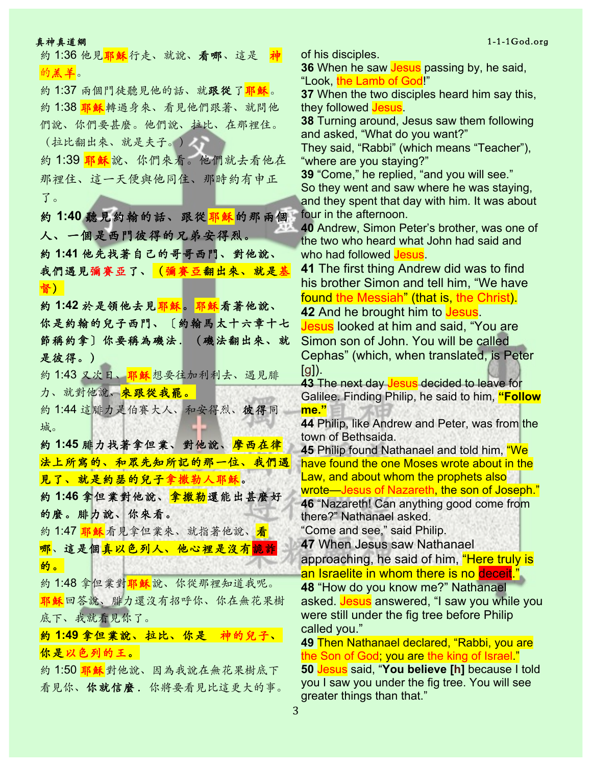約 1:36 他見<mark>耶穌</mark>行走、就說、看哪、這是 神 的羔羊。

約1:37 兩個門徒聽見他的話、就跟從了耶穌。 約 1:38 耶穌轉過身來、看見他們跟著、就問他 們說、你們要甚麼。他們說、拉比、在那裡住。 (拉比翻出來、就是夫子。)

約1:39 耶穌說、你們來看。他們就去看他在 那裡住、這⼀天便與他同住、那時約有申正 了。

約 **1:40** 聽見約翰的話、跟從耶穌的那兩個 ⼈、⼀個是西門彼得的兄弟安得烈。 約 **1:41** 他先找著自⼰的哥哥西門、對他說、 我們遇見彌賽亞了、(彌賽亞翻出來、就是基 督)

約 **1:42** 於是領他去見耶穌。耶穌看著他說、 你是約翰的兒子西門、〔約翰馬太十六章十七 節稱約拿〕你要稱為磯法.(磯法翻出來、就 是彼得。)

約1:43 又次日、耶穌想要往加利利去、遇見腓 力、就對他說、來跟從我罷。

約 1:44 這腓力是伯賽大人、和安得烈、彼得同 城。

約 **1:45** 腓⼒找著拿但業、對他說、摩西在律 法上所寫的、和眾先知所記的那一位、我們遇 見了、就是約瑟的兒子拿撒勒人耶穌。

約 **1:46** 拿但業對他說、拿撒勒還能出甚麼好 的麼。腓力說、你來看。

約1:47 耶穌看見拿但業來、就指著他說、看 <mark>哪</mark>、這是個<mark>真以色列人、他心裡是沒有</mark>詭詐 的。

約1:48 拿但業對耶穌說、你從那裡知道我呢。 耶穌回答說、腓力還沒有招呼你、你在無花果樹 底下、我就看見你了。

約 **1:49** 拿但業說、拉比、你是 神的兒⼦、 你是以色列的王。

約1:50 耶穌對他說、因為我說在無花果樹底下 看見你、你就信麼.你將要看見比這更大的事。 of his disciples.

**36** When he saw **Jesus** passing by, he said, "Look, the Lamb of God!"

**37** When the two disciples heard him say this, they followed **Jesus**.

**38** Turning around, Jesus saw them following and asked, "What do you want?"

They said, "Rabbi" (which means "Teacher"), "where are you staying?"

**39** "Come," he replied, "and you will see." So they went and saw where he was staying, and they spent that day with him. It was about four in the afternoon.

**40** Andrew, Simon Peter's brother, was one of the two who heard what John had said and who had followed **Jesus**.

**41** The first thing Andrew did was to find his brother Simon and tell him, "We have found the Messiah" (that is, the Christ).

**42** And he brought him to Jesus.

Jesus looked at him and said, "You are Simon son of John. You will be called Cephas" (which, when translated, is Peter  $[g]$ ).

**43** The next day **Jesus** decided to leave for Galilee. Finding Philip, he said to him, **"Follow me."**

**44** Philip, like Andrew and Peter, was from the town of Bethsaida.

**45** Philip found Nathanael and told him, "We have found the one Moses wrote about in the Law, and about whom the prophets also wrote—Jesus of Nazareth, the son of Joseph." **46** "Nazareth! Can anything good come from there?" Nathanael asked.

"Come and see," said Philip.

**47** When Jesus saw Nathanael

approaching, he said of him, "Here truly is an Israelite in whom there is no deceit."

**48** "How do you know me?" Nathanael asked. Jesus answered, "I saw you while you were still under the fig tree before Philip called you."

**49** Then Nathanael declared, "Rabbi, you are the Son of God; you are the king of Israel." **50** Jesus said, "**You believe [h]** because I told you I saw you under the fig tree. You will see greater things than that."